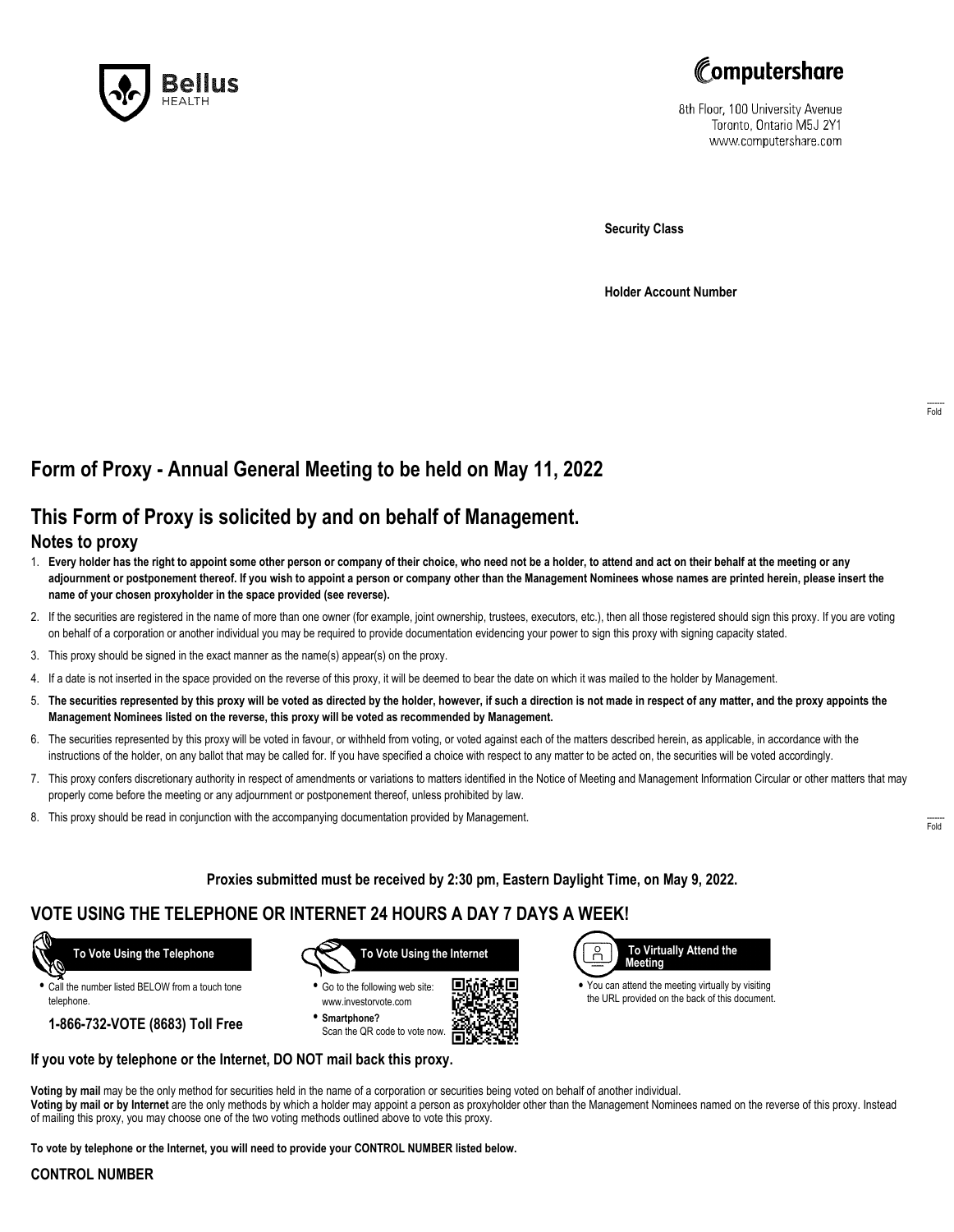



8th Floor, 100 University Avenue Toronto, Ontario M5J 2Y1 www.computershare.com

**Security Class**

**Holder Account Number**

# **Form of Proxy - Annual General Meeting to be held on May 11, 2022**

## **This Form of Proxy is solicited by and on behalf of Management.**

### **Notes to proxy**

- 1. **Every holder has the right to appoint some other person or company of their choice, who need not be a holder, to attend and act on their behalf at the meeting or any adjournment or postponement thereof. If you wish to appoint a person or company other than the Management Nominees whose names are printed herein, please insert the name of your chosen proxyholder in the space provided (see reverse).**
- 2. If the securities are registered in the name of more than one owner (for example, joint ownership, trustees, executors, etc.), then all those registered should sign this proxy. If you are voting on behalf of a corporation or another individual you may be required to provide documentation evidencing your power to sign this proxy with signing capacity stated.
- 3. This proxy should be signed in the exact manner as the name(s) appear(s) on the proxy.
- 4. If a date is not inserted in the space provided on the reverse of this proxy, it will be deemed to bear the date on which it was mailed to the holder by Management.
- 5. **The securities represented by this proxy will be voted as directed by the holder, however, if such a direction is not made in respect of any matter, and the proxy appoints the Management Nominees listed on the reverse, this proxy will be voted as recommended by Management.**
- 6. The securities represented by this proxy will be voted in favour, or withheld from voting, or voted against each of the matters described herein, as applicable, in accordance with the instructions of the holder, on any ballot that may be called for. If you have specified a choice with respect to any matter to be acted on, the securities will be voted accordingly.
- 7. This proxy confers discretionary authority in respect of amendments or variations to matters identified in the Notice of Meeting and Management Information Circular or other matters that may properly come before the meeting or any adjournment or postponement thereof, unless prohibited by law.
- 8. This proxy should be read in conjunction with the accompanying documentation provided by Management.

**Proxies submitted must be received by 2:30 pm, Eastern Daylight Time, on May 9, 2022.**

. Г.

### **VOTE USING THE TELEPHONE OR INTERNET 24 HOURS A DAY 7 DAYS A WEEK!**



**•** Call the number listed BELOW from a touch tone telephone.

**1-866-732-VOTE (8683) Toll Free**



**•** Go to the following web site: www.investorvote.com **• Smartphone?**

Scan the QR code to vote now.



**•** You can attend the meeting virtually by visiting the URL provided on the back of this document.

#### **If you vote by telephone or the Internet, DO NOT mail back this proxy.**

**Voting by mail** may be the only method for securities held in the name of a corporation or securities being voted on behalf of another individual. **Voting by mail or by Internet** are the only methods by which a holder may appoint a person as proxyholder other than the Management Nominees named on the reverse of this proxy. Instead of mailing this proxy, you may choose one of the two voting methods outlined above to vote this proxy.

**To vote by telephone or the Internet, you will need to provide your CONTROL NUMBER listed below.**

#### **CONTROL NUMBER**